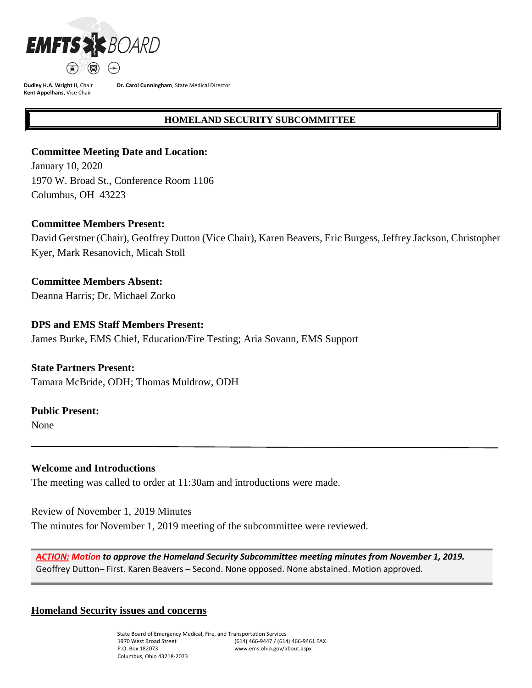

**Dr. Carol Cunningham**, State Medical Director

#### **HOMELAND SECURITY SUBCOMMITTEE**

### **Committee Meeting Date and Location:**

January 10, 2020 1970 W. Broad St., Conference Room 1106 Columbus, OH 43223

#### **Committee Members Present:**

David Gerstner (Chair), Geoffrey Dutton (Vice Chair), Karen Beavers, Eric Burgess, Jeffrey Jackson, Christopher Kyer, Mark Resanovich, Micah Stoll

**Committee Members Absent:** Deanna Harris; Dr. Michael Zorko

### **DPS and EMS Staff Members Present:**

James Burke, EMS Chief, Education/Fire Testing; Aria Sovann, EMS Support

#### **State Partners Present:**

Tamara McBride, ODH; Thomas Muldrow, ODH

#### **Public Present:**

None

### **Welcome and Introductions**

The meeting was called to order at 11:30am and introductions were made.

Review of November 1, 2019 Minutes The minutes for November 1, 2019 meeting of the subcommittee were reviewed.

*ACTION: Motion to approve the Homeland Security Subcommittee meeting minutes from November 1, 2019.*  Geoffrey Dutton– First. Karen Beavers – Second. None opposed. None abstained. Motion approved.

#### **Homeland Security issues and concerns**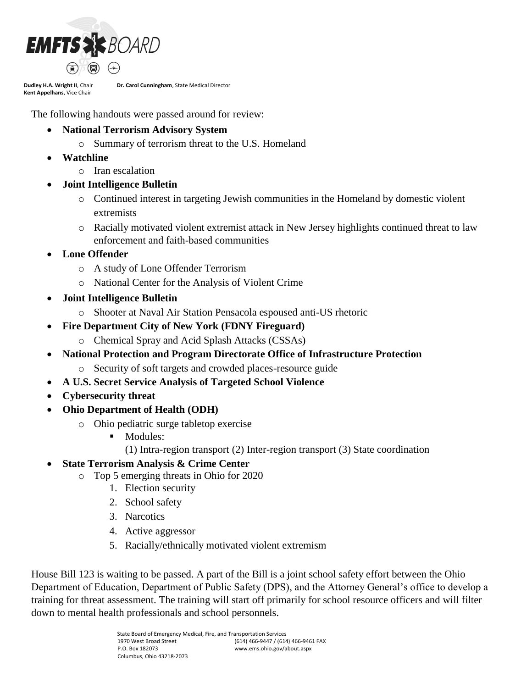

**Dr. Carol Cunningham**, State Medical Director

The following handouts were passed around for review:

- **National Terrorism Advisory System**
	- o Summary of terrorism threat to the U.S. Homeland
- **Watchline**
	- o Iran escalation
- **Joint Intelligence Bulletin**
	- o Continued interest in targeting Jewish communities in the Homeland by domestic violent extremists
	- o Racially motivated violent extremist attack in New Jersey highlights continued threat to law enforcement and faith-based communities
- **Lone Offender**
	- o A study of Lone Offender Terrorism
	- o National Center for the Analysis of Violent Crime
- **Joint Intelligence Bulletin**
	- o Shooter at Naval Air Station Pensacola espoused anti-US rhetoric
- **Fire Department City of New York (FDNY Fireguard)**
	- o Chemical Spray and Acid Splash Attacks (CSSAs)
- **National Protection and Program Directorate Office of Infrastructure Protection** 
	- o Security of soft targets and crowded places-resource guide
- **A U.S. Secret Service Analysis of Targeted School Violence**
- **Cybersecurity threat**
- **Ohio Department of Health (ODH)**
	- o Ohio pediatric surge tabletop exercise
		- **Modules:** 
			- (1) Intra-region transport (2) Inter-region transport (3) State coordination
- **State Terrorism Analysis & Crime Center**
	- o Top 5 emerging threats in Ohio for 2020
		- 1. Election security
		- 2. School safety
		- 3. Narcotics
		- 4. Active aggressor
		- 5. Racially/ethnically motivated violent extremism

House Bill 123 is waiting to be passed. A part of the Bill is a joint school safety effort between the Ohio Department of Education, Department of Public Safety (DPS), and the Attorney General's office to develop a training for threat assessment. The training will start off primarily for school resource officers and will filter down to mental health professionals and school personnels.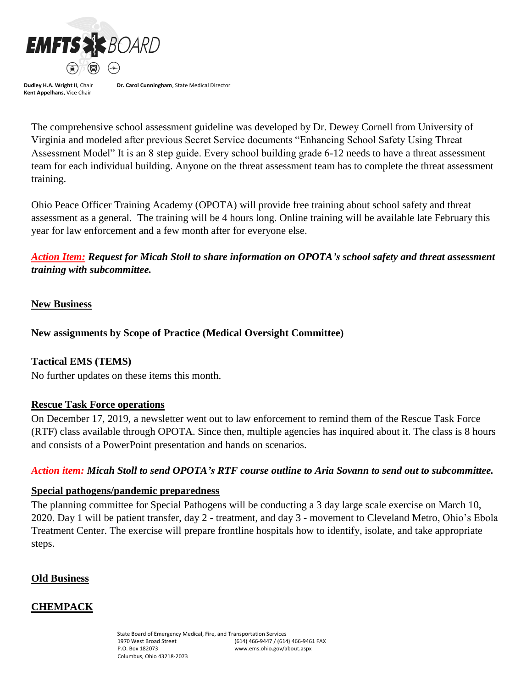

**Dr. Carol Cunningham**, State Medical Director

The comprehensive school assessment guideline was developed by Dr. Dewey Cornell from University of Virginia and modeled after previous Secret Service documents "Enhancing School Safety Using Threat Assessment Model" It is an 8 step guide. Every school building grade 6-12 needs to have a threat assessment team for each individual building. Anyone on the threat assessment team has to complete the threat assessment training.

Ohio Peace Officer Training Academy (OPOTA) will provide free training about school safety and threat assessment as a general. The training will be 4 hours long. Online training will be available late February this year for law enforcement and a few month after for everyone else.

*Action Item: Request for Micah Stoll to share information on OPOTA's school safety and threat assessment training with subcommittee.*

### **New Business**

**New assignments by Scope of Practice (Medical Oversight Committee)**

### **Tactical EMS (TEMS)**

No further updates on these items this month.

#### **Rescue Task Force operations**

On December 17, 2019, a newsletter went out to law enforcement to remind them of the Rescue Task Force (RTF) class available through OPOTA. Since then, multiple agencies has inquired about it. The class is 8 hours and consists of a PowerPoint presentation and hands on scenarios.

#### *Action item: Micah Stoll to send OPOTA's RTF course outline to Aria Sovann to send out to subcommittee.*

#### **Special pathogens/pandemic preparedness**

The planning committee for Special Pathogens will be conducting a 3 day large scale exercise on March 10, 2020. Day 1 will be patient transfer, day 2 - treatment, and day 3 - movement to Cleveland Metro, Ohio's Ebola Treatment Center. The exercise will prepare frontline hospitals how to identify, isolate, and take appropriate steps.

#### **Old Business**

# **CHEMPACK**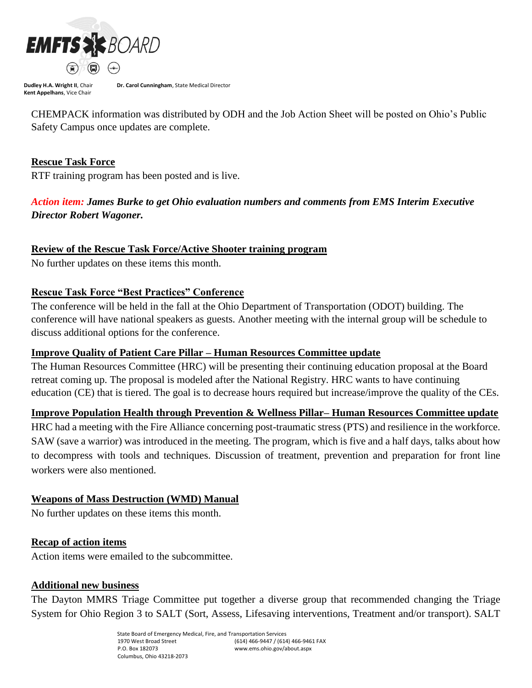

**Dr. Carol Cunningham**, State Medical Director

CHEMPACK information was distributed by ODH and the Job Action Sheet will be posted on Ohio's Public Safety Campus once updates are complete.

### **Rescue Task Force**

RTF training program has been posted and is live.

# *Action item: James Burke to get Ohio evaluation numbers and comments from EMS Interim Executive Director Robert Wagoner.*

## **Review of the Rescue Task Force/Active Shooter training program**

No further updates on these items this month.

## **Rescue Task Force "Best Practices" Conference**

The conference will be held in the fall at the Ohio Department of Transportation (ODOT) building. The conference will have national speakers as guests. Another meeting with the internal group will be schedule to discuss additional options for the conference.

### **Improve Quality of Patient Care Pillar – Human Resources Committee update**

The Human Resources Committee (HRC) will be presenting their continuing education proposal at the Board retreat coming up. The proposal is modeled after the National Registry. HRC wants to have continuing education (CE) that is tiered. The goal is to decrease hours required but increase/improve the quality of the CEs.

# **Improve Population Health through Prevention & Wellness Pillar– Human Resources Committee update**

HRC had a meeting with the Fire Alliance concerning post-traumatic stress (PTS) and resilience in the workforce. SAW (save a warrior) was introduced in the meeting. The program, which is five and a half days, talks about how to decompress with tools and techniques. Discussion of treatment, prevention and preparation for front line workers were also mentioned.

### **Weapons of Mass Destruction (WMD) Manual**

No further updates on these items this month.

# **Recap of action items**

Action items were emailed to the subcommittee.

### **Additional new business**

The Dayton MMRS Triage Committee put together a diverse group that recommended changing the Triage System for Ohio Region 3 to SALT (Sort, Assess, Lifesaving interventions, Treatment and/or transport). SALT